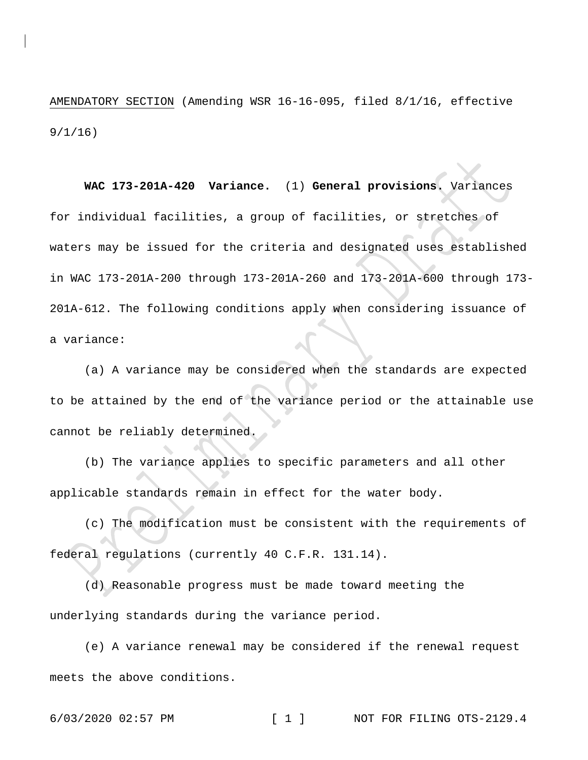AMENDATORY SECTION (Amending WSR 16-16-095, filed 8/1/16, effective 9/1/16)

**WAC 173-201A-420 Variance.** (1) **General provisions.** Variances for individual facilities, a group of facilities, or stretches of waters may be issued for the criteria and designated uses established in WAC 173-201A-200 through 173-201A-260 and 173-201A-600 through 173- 201A-612. The following conditions apply when considering issuance of a variance:

(a) A variance may be considered when the standards are expected to be attained by the end of the variance period or the attainable use cannot be reliably determined.

(b) The variance applies to specific parameters and all other applicable standards remain in effect for the water body.

(c) The modification must be consistent with the requirements of federal regulations (currently 40 C.F.R. 131.14).

(d) Reasonable progress must be made toward meeting the underlying standards during the variance period.

(e) A variance renewal may be considered if the renewal request meets the above conditions.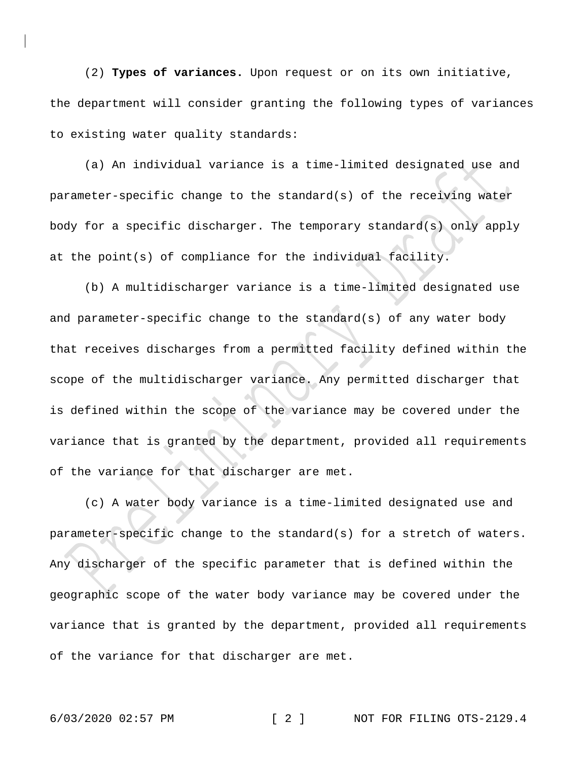(2) **Types of variances.** Upon request or on its own initiative, the department will consider granting the following types of variances to existing water quality standards:

(a) An individual variance is a time-limited designated use and parameter-specific change to the standard(s) of the receiving water body for a specific discharger. The temporary standard(s) only apply at the point(s) of compliance for the individual facility.

(b) A multidischarger variance is a time-limited designated use and parameter-specific change to the standard(s) of any water body that receives discharges from a permitted facility defined within the scope of the multidischarger variance. Any permitted discharger that is defined within the scope of the variance may be covered under the variance that is granted by the department, provided all requirements of the variance for that discharger are met.

(c) A water body variance is a time-limited designated use and parameter-specific change to the standard(s) for a stretch of waters. Any discharger of the specific parameter that is defined within the geographic scope of the water body variance may be covered under the variance that is granted by the department, provided all requirements of the variance for that discharger are met.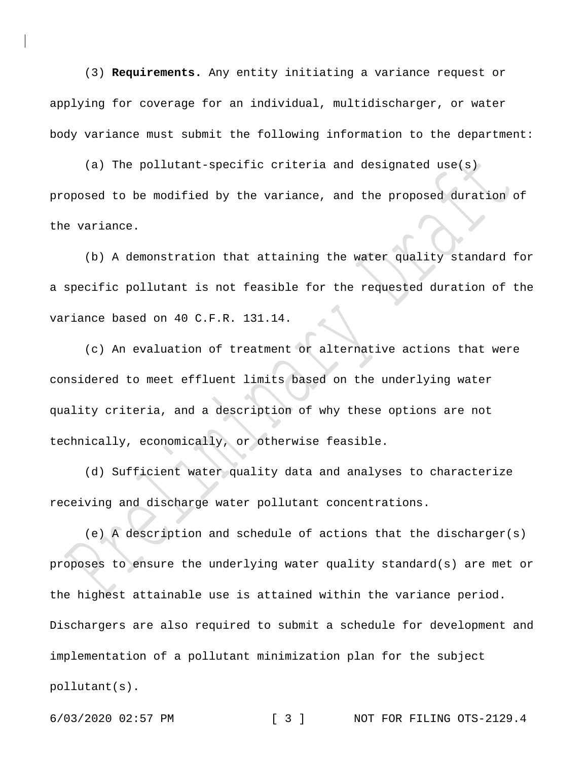(3) **Requirements.** Any entity initiating a variance request or applying for coverage for an individual, multidischarger, or water body variance must submit the following information to the department:

(a) The pollutant-specific criteria and designated use(s) proposed to be modified by the variance, and the proposed duration of the variance.

(b) A demonstration that attaining the water quality standard for a specific pollutant is not feasible for the requested duration of the variance based on 40 C.F.R. 131.14.

(c) An evaluation of treatment or alternative actions that were considered to meet effluent limits based on the underlying water quality criteria, and a description of why these options are not technically, economically, or otherwise feasible.

(d) Sufficient water quality data and analyses to characterize receiving and discharge water pollutant concentrations.

(e) A description and schedule of actions that the discharger(s) proposes to ensure the underlying water quality standard(s) are met or the highest attainable use is attained within the variance period. Dischargers are also required to submit a schedule for development and implementation of a pollutant minimization plan for the subject pollutant(s).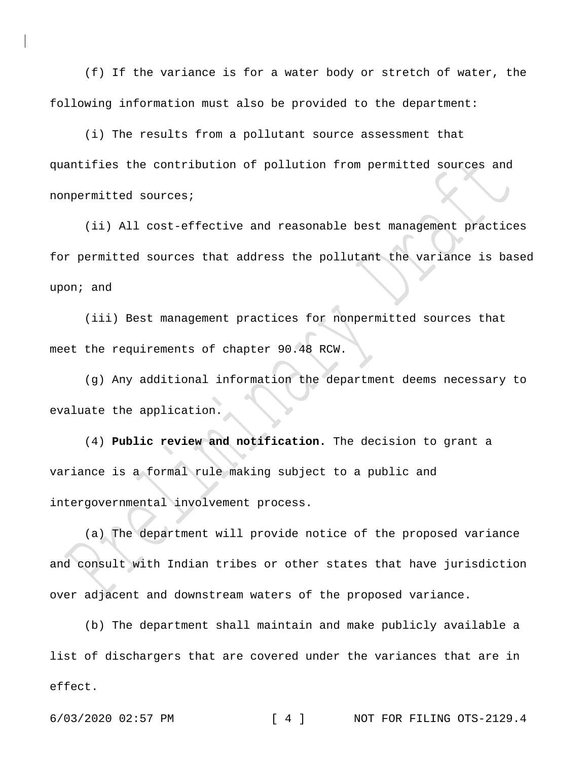(f) If the variance is for a water body or stretch of water, the following information must also be provided to the department:

(i) The results from a pollutant source assessment that quantifies the contribution of pollution from permitted sources and nonpermitted sources;

(ii) All cost-effective and reasonable best management practices for permitted sources that address the pollutant the variance is based upon; and

(iii) Best management practices for nonpermitted sources that meet the requirements of chapter 90.48 RCW.

(g) Any additional information the department deems necessary to evaluate the application.

(4) **Public review and notification.** The decision to grant a variance is a formal rule making subject to a public and intergovernmental involvement process.

(a) The department will provide notice of the proposed variance and consult with Indian tribes or other states that have jurisdiction over adjacent and downstream waters of the proposed variance.

(b) The department shall maintain and make publicly available a list of dischargers that are covered under the variances that are in effect.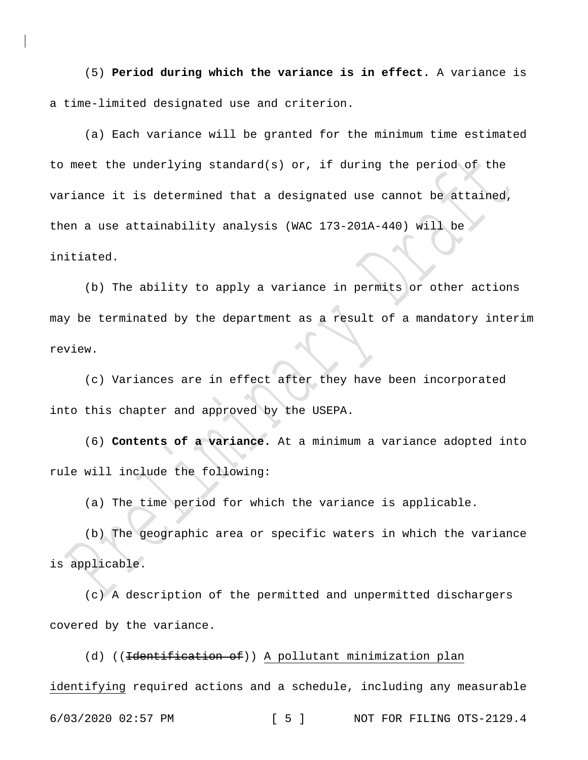(5) **Period during which the variance is in effect.** A variance is a time-limited designated use and criterion.

(a) Each variance will be granted for the minimum time estimated to meet the underlying standard(s) or, if during the period of the variance it is determined that a designated use cannot be attained, then a use attainability analysis (WAC 173-201A-440) will be initiated.

(b) The ability to apply a variance in permits or other actions may be terminated by the department as a result of a mandatory interim review.

(c) Variances are in effect after they have been incorporated into this chapter and approved by the USEPA.

(6) **Contents of a variance.** At a minimum a variance adopted into rule will include the following:

(a) The time period for which the variance is applicable.

(b) The geographic area or specific waters in which the variance is applicable.

(c) A description of the permitted and unpermitted dischargers covered by the variance.

6/03/2020 02:57 PM [ 5 ] NOT FOR FILING OTS-2129.4 (d) ((<del>Identification of</del>)) A pollutant minimization plan identifying required actions and a schedule, including any measurable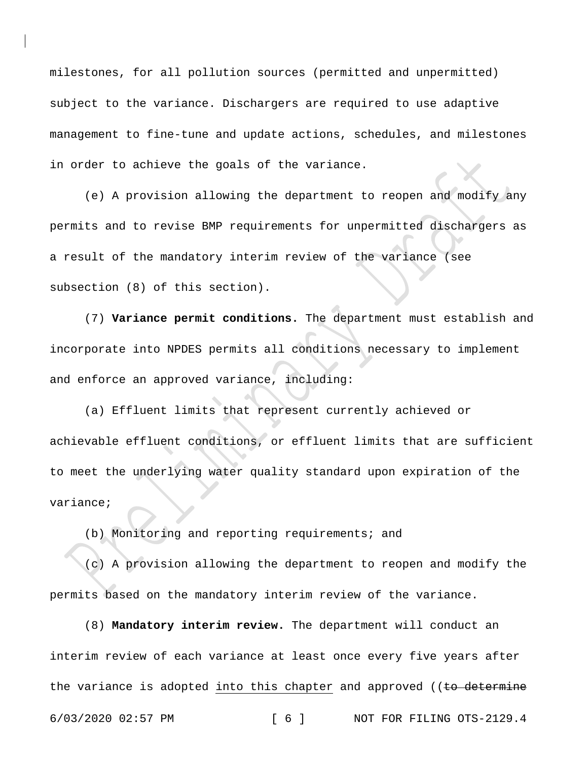milestones, for all pollution sources (permitted and unpermitted) subject to the variance. Dischargers are required to use adaptive management to fine-tune and update actions, schedules, and milestones in order to achieve the goals of the variance.

(e) A provision allowing the department to reopen and modify any permits and to revise BMP requirements for unpermitted dischargers as a result of the mandatory interim review of the variance (see subsection (8) of this section).

(7) **Variance permit conditions.** The department must establish and incorporate into NPDES permits all conditions necessary to implement and enforce an approved variance, including:

(a) Effluent limits that represent currently achieved or achievable effluent conditions, or effluent limits that are sufficient to meet the underlying water quality standard upon expiration of the variance;

(b) Monitoring and reporting requirements; and

(c) A provision allowing the department to reopen and modify the permits based on the mandatory interim review of the variance.

6/03/2020 02:57 PM [ 6 ] NOT FOR FILING OTS-2129.4 (8) **Mandatory interim review.** The department will conduct an interim review of each variance at least once every five years after the variance is adopted into this chapter and approved (( $t$ o determine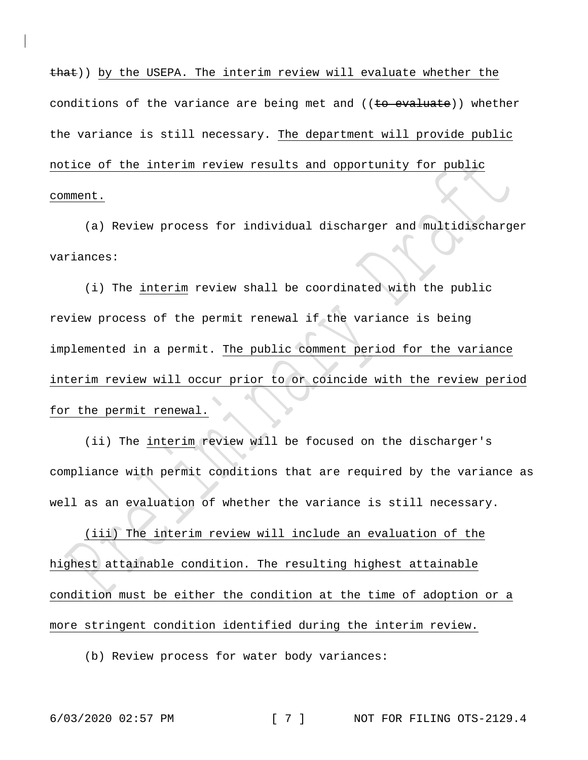that)) by the USEPA. The interim review will evaluate whether the conditions of the variance are being met and  $((to evaluate))$  whether the variance is still necessary. The department will provide public notice of the interim review results and opportunity for public comment.

(a) Review process for individual discharger and multidischarger variances:

(i) The interim review shall be coordinated with the public review process of the permit renewal if the variance is being implemented in a permit. The public comment period for the variance interim review will occur prior to or coincide with the review period for the permit renewal.

(ii) The interim review will be focused on the discharger's compliance with permit conditions that are required by the variance as well as an evaluation of whether the variance is still necessary.

(iii) The interim review will include an evaluation of the highest attainable condition. The resulting highest attainable condition must be either the condition at the time of adoption or a more stringent condition identified during the interim review.

(b) Review process for water body variances: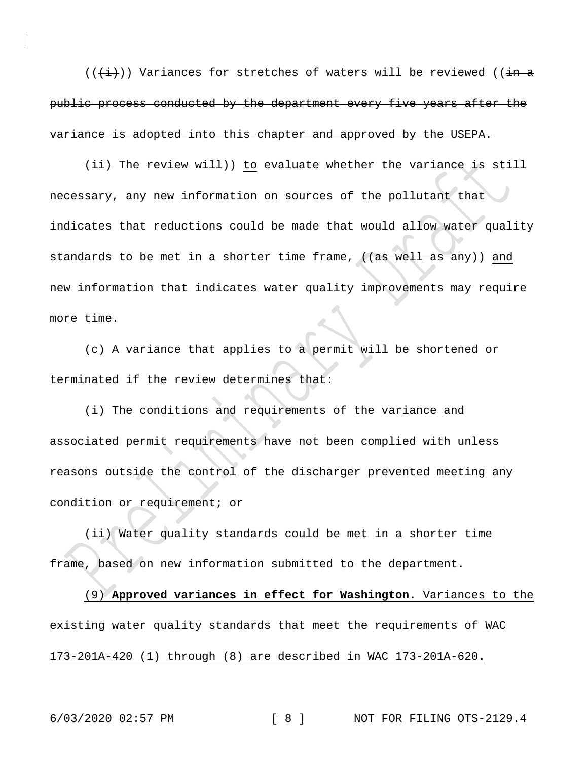$((\overline{+i})^n)$  Variances for stretches of waters will be reviewed (( $\overline{+i}$ public process conducted by the department every five years after the variance is adopted into this chapter and approved by the USEPA.

(ii) The review will)) to evaluate whether the variance is still necessary, any new information on sources of the pollutant that indicates that reductions could be made that would allow water quality standards to be met in a shorter time frame, ((as well as any)) and new information that indicates water quality improvements may require more time.

(c) A variance that applies to a permit will be shortened or terminated if the review determines that:

(i) The conditions and requirements of the variance and associated permit requirements have not been complied with unless reasons outside the control of the discharger prevented meeting any condition or requirement; or

(ii) Water quality standards could be met in a shorter time frame, based on new information submitted to the department.

(9) **Approved variances in effect for Washington.** Variances to the existing water quality standards that meet the requirements of WAC 173-201A-420 (1) through (8) are described in WAC 173-201A-620.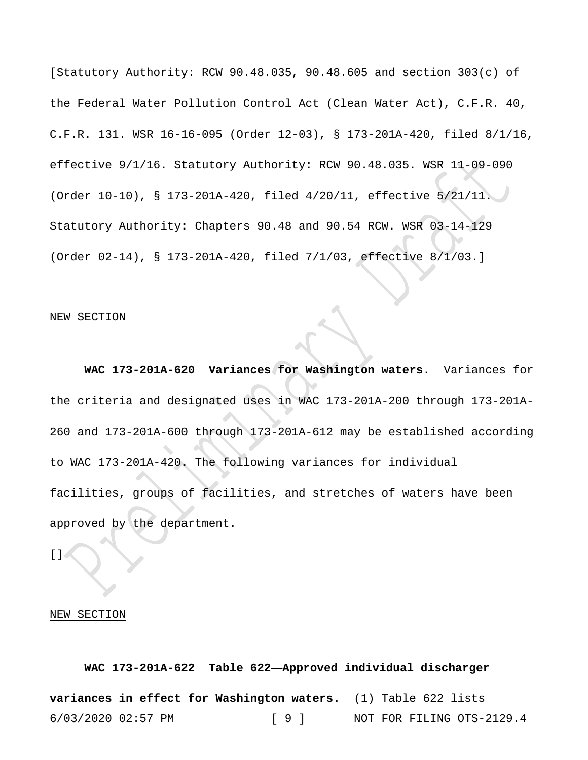[Statutory Authority: RCW 90.48.035, 90.48.605 and section  $303(c)$  of the Federal Water Pollution Control Act (Clean Water Act), C.F.R. 40, C.F.R. 131. WSR 16-16-095 (Order 12-03), § 173-201A-420, filed 8/1/16, effective 9/1/16. Statutory Authority: RCW 90.48.035. WSR 11-09-090 (Order 10-10), § 173-201A-420, filed 4/20/11, effective 5/21/11. Statutory Authority: Chapters 90.48 and 90.54 RCW. WSR 03-14-129 (Order 02-14), § 173-201A-420, filed 7/1/03, effective 8/1/03.]

#### NEW SECTION

**WAC 173-201A-620 Variances for Washington waters.** Variances for the criteria and designated uses in WAC 173-201A-200 through 173-201A-260 and 173-201A-600 through 173-201A-612 may be established according to WAC 173-201A-420. The following variances for individual facilities, groups of facilities, and stretches of waters have been approved by the department.

 $[ \ ]$  (

#### NEW SECTION

6/03/2020 02:57 PM [ 9 ] NOT FOR FILING OTS-2129.4 **WAC 173-201A-622 Table 622—Approved individual discharger variances in effect for Washington waters.** (1) Table 622 lists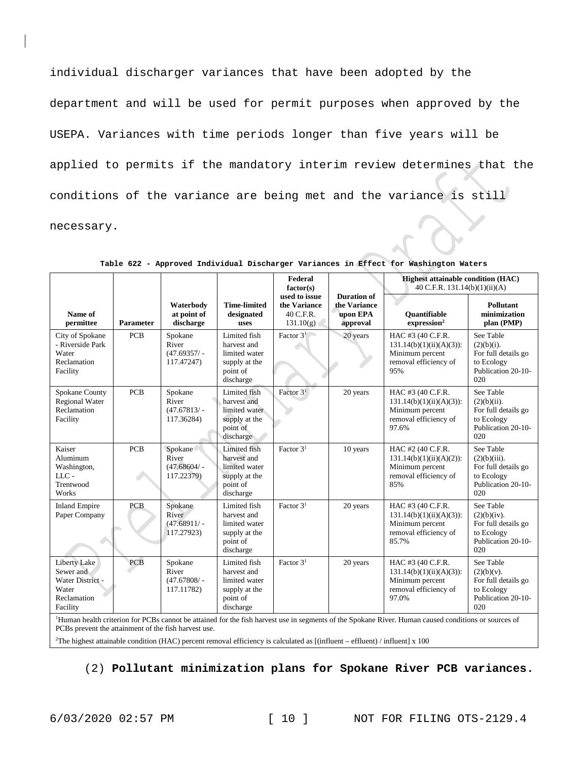individual discharger variances that have been adopted by the department and will be used for permit purposes when approved by the USEPA. Variances with time periods longer than five years will be applied to permits if the mandatory interim review determines that the conditions of the variance are being met and the variance is still necessary.

|                                                                                                                                                                  |                  |                                                  |                                                                                        | Federal<br>factor(s)                                    |                                                            | <b>Highest attainable condition (HAC)</b><br>40 C.F.R. 131.14(b)(1)(ii)(A)                           |                                                                                                |
|------------------------------------------------------------------------------------------------------------------------------------------------------------------|------------------|--------------------------------------------------|----------------------------------------------------------------------------------------|---------------------------------------------------------|------------------------------------------------------------|------------------------------------------------------------------------------------------------------|------------------------------------------------------------------------------------------------|
| Name of<br>permittee                                                                                                                                             | <b>Parameter</b> | Waterbody<br>at point of<br>discharge            | <b>Time-limited</b><br>designated<br>uses                                              | used to issue<br>the Variance<br>40 C.F.R.<br>131.10(g) | <b>Duration of</b><br>the Variance<br>upon EPA<br>approval | <b>Ouantifiable</b><br>expression <sup>2</sup>                                                       | <b>Pollutant</b><br>minimization<br>plan (PMP)                                                 |
| City of Spokane<br>- Riverside Park<br>Water<br>Reclamation<br>Facility                                                                                          | <b>PCB</b>       | Spokane<br>River<br>$(47.69357/-$<br>117.47247)  | Limited fish<br>harvest and<br>limited water<br>supply at the<br>point of<br>discharge | Factor $31$                                             | 20 years                                                   | HAC #3 (40 C.F.R.<br>$131.14(b)(1)(ii)(A)(3)$ :<br>Minimum percent<br>removal efficiency of<br>95%   | See Table<br>$(2)(b)(i)$ .<br>For full details go<br>to Ecology<br>Publication 20-10-<br>020   |
| Spokane County<br><b>Regional Water</b><br>Reclamation<br>Facility                                                                                               | <b>PCB</b>       | Spokane<br>River<br>$(47.67813/ -$<br>117.36284) | Limited fish<br>harvest and<br>limited water<br>supply at the<br>point of<br>discharge | Factor $31$                                             | 20 years                                                   | HAC #3 (40 C.F.R.<br>$131.14(b)(1)(ii)(A)(3)$ :<br>Minimum percent<br>removal efficiency of<br>97.6% | See Table<br>$(2)(b)(ii)$ .<br>For full details go<br>to Ecology<br>Publication 20-10-<br>020  |
| Kaiser<br>Aluminum<br>Washington,<br>$LLC -$<br>Trentwood<br>Works                                                                                               | <b>PCB</b>       | Spokane<br>River<br>$(47.68604/-$<br>117.22379)  | Limited fish<br>harvest and<br>limited water<br>supply at the<br>point of<br>discharge | Factor 3 <sup>1</sup>                                   | 10 years                                                   | HAC #2 (40 C.F.R.<br>$131.14(b)(1)(ii)(A)(2)$ :<br>Minimum percent<br>removal efficiency of<br>85%   | See Table<br>$(2)(b)(iii)$ .<br>For full details go<br>to Ecology<br>Publication 20-10-<br>020 |
| <b>Inland Empire</b><br>Paper Company                                                                                                                            | <b>PCB</b>       | Spokane<br>River<br>$(47.68911/-$<br>117.27923)  | Limited fish<br>harvest and<br>limited water<br>supply at the<br>point of<br>discharge | Factor $31$                                             | 20 years                                                   | HAC #3 (40 C.F.R.<br>$131.14(b)(1)(ii)(A)(3)$ :<br>Minimum percent<br>removal efficiency of<br>85.7% | See Table<br>(2)(b)(iv).<br>For full details go<br>to Ecology<br>Publication 20-10-<br>020     |
| Liberty Lake<br>Sewer and<br>Water District -<br>Water<br>Reclamation<br>Facility                                                                                | <b>PCB</b>       | Spokane<br>River<br>$(47.67808/-$<br>117.11782)  | Limited fish<br>harvest and<br>limited water<br>supply at the<br>point of<br>discharge | Factor $31$                                             | 20 years                                                   | HAC #3 (40 C.F.R.<br>$131.14(b)(1)(ii)(A)(3)$ :<br>Minimum percent<br>removal efficiency of<br>97.0% | See Table<br>$(2)(b)(v)$ .<br>For full details go<br>to Ecology<br>Publication 20-10-<br>020   |
| <sup>1</sup> Human health criterion for PCBs cannot be attained for the fish harvest use in segments of the Spokane River. Human caused conditions or sources of |                  |                                                  |                                                                                        |                                                         |                                                            |                                                                                                      |                                                                                                |

**Table 622 - Approved Individual Discharger Variances in Effect for Washington Waters**

PCBs prevent the attainment of the fish harvest use.

2 The highest attainable condition (HAC) percent removal efficiency is calculated as [(influent – effluent) / influent] x 100

(2) **Pollutant minimization plans for Spokane River PCB variances.**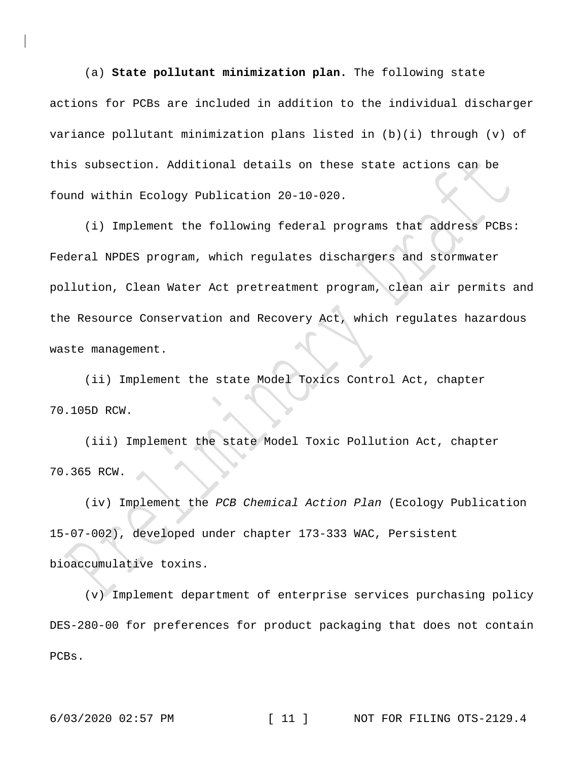(a) **State pollutant minimization plan.** The following state actions for PCBs are included in addition to the individual discharger variance pollutant minimization plans listed in (b)(i) through (v) of this subsection. Additional details on these state actions can be found within Ecology Publication 20-10-020.

(i) Implement the following federal programs that address PCBs: Federal NPDES program, which regulates dischargers and stormwater pollution, Clean Water Act pretreatment program, clean air permits and the Resource Conservation and Recovery Act, which regulates hazardous waste management.

(ii) Implement the state Model Toxics Control Act, chapter 70.105D RCW.

(iii) Implement the state Model Toxic Pollution Act, chapter 70.365 RCW.

(iv) Implement the *PCB Chemical Action Plan* (Ecology Publication 15-07-002), developed under chapter 173-333 WAC, Persistent bioaccumulative toxins.

(v) Implement department of enterprise services purchasing policy DES-280-00 for preferences for product packaging that does not contain PCBs.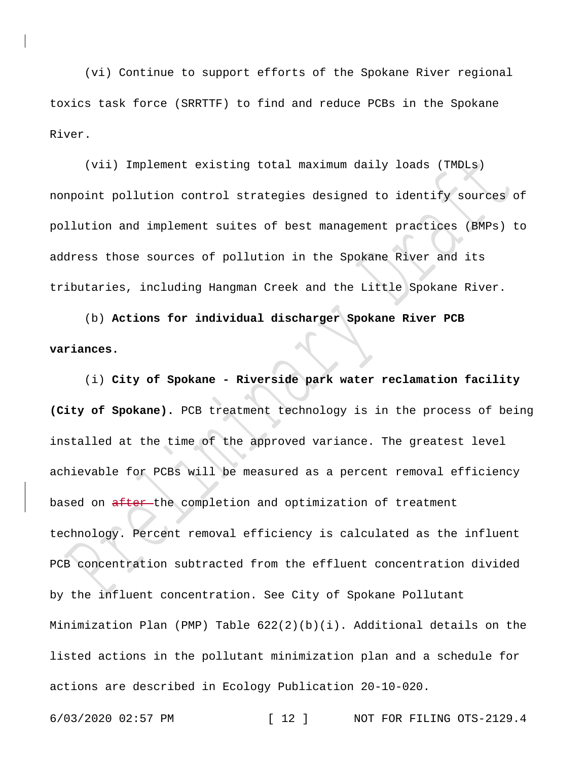(vi) Continue to support efforts of the Spokane River regional toxics task force (SRRTTF) to find and reduce PCBs in the Spokane River.

(vii) Implement existing total maximum daily loads (TMDLs) nonpoint pollution control strategies designed to identify sources of pollution and implement suites of best management practices (BMPs) to address those sources of pollution in the Spokane River and its tributaries, including Hangman Creek and the Little Spokane River.

(b) **Actions for individual discharger Spokane River PCB variances.**

(i) **City of Spokane - Riverside park water reclamation facility (City of Spokane).** PCB treatment technology is in the process of being installed at the time of the approved variance. The greatest level achievable for PCBs will be measured as a percent removal efficiency based on after-the completion and optimization of treatment technology. Percent removal efficiency is calculated as the influent PCB concentration subtracted from the effluent concentration divided by the influent concentration. See City of Spokane Pollutant Minimization Plan (PMP) Table 622(2)(b)(i). Additional details on the listed actions in the pollutant minimization plan and a schedule for actions are described in Ecology Publication 20-10-020.

6/03/2020 02:57 PM [ 12 ] NOT FOR FILING OTS-2129.4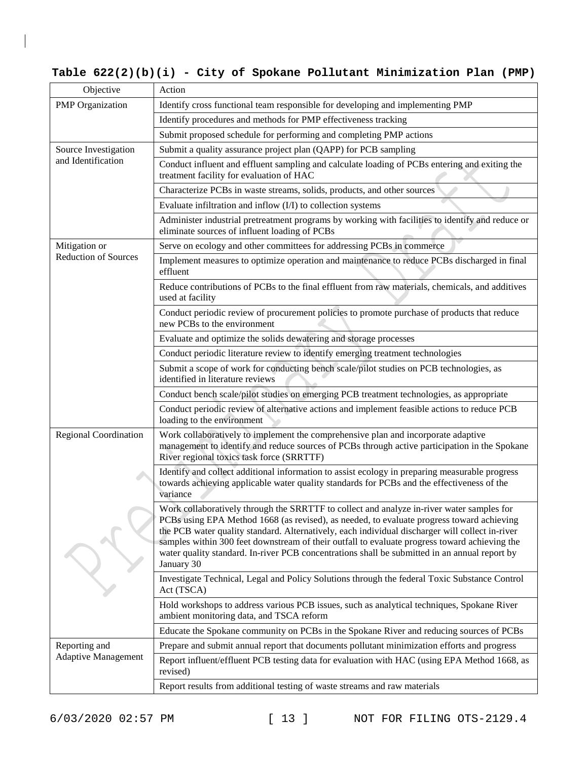# **Table 622(2)(b)(i) - City of Spokane Pollutant Minimization Plan (PMP)**

| Objective                    | Action                                                                                                                                                                                                                                                                                                                                                                                                                                                                                                    |
|------------------------------|-----------------------------------------------------------------------------------------------------------------------------------------------------------------------------------------------------------------------------------------------------------------------------------------------------------------------------------------------------------------------------------------------------------------------------------------------------------------------------------------------------------|
| <b>PMP</b> Organization      | Identify cross functional team responsible for developing and implementing PMP                                                                                                                                                                                                                                                                                                                                                                                                                            |
|                              | Identify procedures and methods for PMP effectiveness tracking                                                                                                                                                                                                                                                                                                                                                                                                                                            |
|                              | Submit proposed schedule for performing and completing PMP actions                                                                                                                                                                                                                                                                                                                                                                                                                                        |
| Source Investigation         | Submit a quality assurance project plan (QAPP) for PCB sampling                                                                                                                                                                                                                                                                                                                                                                                                                                           |
| and Identification           | Conduct influent and effluent sampling and calculate loading of PCBs entering and exiting the<br>treatment facility for evaluation of HAC                                                                                                                                                                                                                                                                                                                                                                 |
|                              | Characterize PCBs in waste streams, solids, products, and other sources                                                                                                                                                                                                                                                                                                                                                                                                                                   |
|                              | Evaluate infiltration and inflow (I/I) to collection systems                                                                                                                                                                                                                                                                                                                                                                                                                                              |
|                              | Administer industrial pretreatment programs by working with facilities to identify and reduce or<br>eliminate sources of influent loading of PCBs                                                                                                                                                                                                                                                                                                                                                         |
| Mitigation or                | Serve on ecology and other committees for addressing PCBs in commerce                                                                                                                                                                                                                                                                                                                                                                                                                                     |
| <b>Reduction of Sources</b>  | Implement measures to optimize operation and maintenance to reduce PCBs discharged in final<br>effluent                                                                                                                                                                                                                                                                                                                                                                                                   |
|                              | Reduce contributions of PCBs to the final effluent from raw materials, chemicals, and additives<br>used at facility                                                                                                                                                                                                                                                                                                                                                                                       |
|                              | Conduct periodic review of procurement policies to promote purchase of products that reduce<br>new PCBs to the environment                                                                                                                                                                                                                                                                                                                                                                                |
|                              | Evaluate and optimize the solids dewatering and storage processes                                                                                                                                                                                                                                                                                                                                                                                                                                         |
|                              | Conduct periodic literature review to identify emerging treatment technologies                                                                                                                                                                                                                                                                                                                                                                                                                            |
|                              | Submit a scope of work for conducting bench scale/pilot studies on PCB technologies, as<br>identified in literature reviews                                                                                                                                                                                                                                                                                                                                                                               |
|                              | Conduct bench scale/pilot studies on emerging PCB treatment technologies, as appropriate                                                                                                                                                                                                                                                                                                                                                                                                                  |
|                              | Conduct periodic review of alternative actions and implement feasible actions to reduce PCB<br>loading to the environment                                                                                                                                                                                                                                                                                                                                                                                 |
| <b>Regional Coordination</b> | Work collaboratively to implement the comprehensive plan and incorporate adaptive<br>management to identify and reduce sources of PCBs through active participation in the Spokane<br>River regional toxics task force (SRRTTF)                                                                                                                                                                                                                                                                           |
|                              | Identify and collect additional information to assist ecology in preparing measurable progress<br>towards achieving applicable water quality standards for PCBs and the effectiveness of the<br>variance                                                                                                                                                                                                                                                                                                  |
|                              | Work collaboratively through the SRRTTF to collect and analyze in-river water samples for<br>PCBs using EPA Method 1668 (as revised), as needed, to evaluate progress toward achieving<br>the PCB water quality standard. Alternatively, each individual discharger will collect in-river<br>samples within 300 feet downstream of their outfall to evaluate progress toward achieving the<br>water quality standard. In-river PCB concentrations shall be submitted in an annual report by<br>January 30 |
|                              | Investigate Technical, Legal and Policy Solutions through the federal Toxic Substance Control<br>Act (TSCA)                                                                                                                                                                                                                                                                                                                                                                                               |
|                              | Hold workshops to address various PCB issues, such as analytical techniques, Spokane River<br>ambient monitoring data, and TSCA reform                                                                                                                                                                                                                                                                                                                                                                    |
|                              | Educate the Spokane community on PCBs in the Spokane River and reducing sources of PCBs                                                                                                                                                                                                                                                                                                                                                                                                                   |
| Reporting and                | Prepare and submit annual report that documents pollutant minimization efforts and progress                                                                                                                                                                                                                                                                                                                                                                                                               |
| <b>Adaptive Management</b>   | Report influent/effluent PCB testing data for evaluation with HAC (using EPA Method 1668, as<br>revised)                                                                                                                                                                                                                                                                                                                                                                                                  |
|                              | Report results from additional testing of waste streams and raw materials                                                                                                                                                                                                                                                                                                                                                                                                                                 |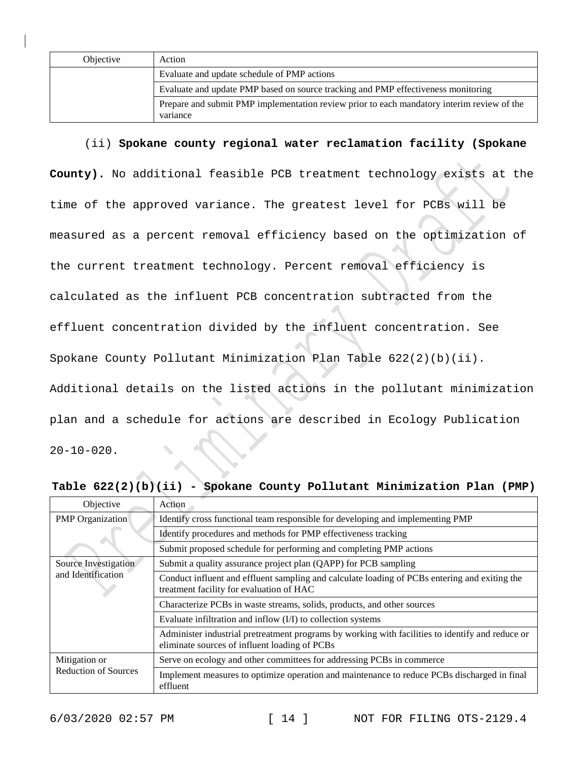| Objective | Action                                                                                                 |
|-----------|--------------------------------------------------------------------------------------------------------|
|           | Evaluate and update schedule of PMP actions                                                            |
|           | Evaluate and update PMP based on source tracking and PMP effectiveness monitoring                      |
|           | Prepare and submit PMP implementation review prior to each mandatory interim review of the<br>variance |

### (ii) **Spokane county regional water reclamation facility (Spokane**

**County).** No additional feasible PCB treatment technology exists at the time of the approved variance. The greatest level for PCBs will be measured as a percent removal efficiency based on the optimization of the current treatment technology. Percent removal efficiency is calculated as the influent PCB concentration subtracted from the effluent concentration divided by the influent concentration. See Spokane County Pollutant Minimization Plan Table 622(2)(b)(ii). Additional details on the listed actions in the pollutant minimization plan and a schedule for actions are described in Ecology Publication  $20 - 10 - 020$ .

| Objective                                    | Action                                                                                                                                            |  |  |
|----------------------------------------------|---------------------------------------------------------------------------------------------------------------------------------------------------|--|--|
| <b>PMP</b> Organization                      | Identify cross functional team responsible for developing and implementing PMP                                                                    |  |  |
|                                              | Identify procedures and methods for PMP effectiveness tracking                                                                                    |  |  |
|                                              | Submit proposed schedule for performing and completing PMP actions                                                                                |  |  |
| Source Investigation<br>and Identification   | Submit a quality assurance project plan (QAPP) for PCB sampling                                                                                   |  |  |
|                                              | Conduct influent and effluent sampling and calculate loading of PCBs entering and exiting the<br>treatment facility for evaluation of HAC         |  |  |
|                                              | Characterize PCBs in waste streams, solids, products, and other sources                                                                           |  |  |
|                                              | Evaluate infiltration and inflow (I/I) to collection systems                                                                                      |  |  |
|                                              | Administer industrial pretreatment programs by working with facilities to identify and reduce or<br>eliminate sources of influent loading of PCBs |  |  |
| Mitigation or<br><b>Reduction of Sources</b> | Serve on ecology and other committees for addressing PCBs in commerce                                                                             |  |  |
|                                              | Implement measures to optimize operation and maintenance to reduce PCBs discharged in final<br>effluent                                           |  |  |

**Table 622(2)(b)(ii) - Spokane County Pollutant Minimization Plan (PMP)**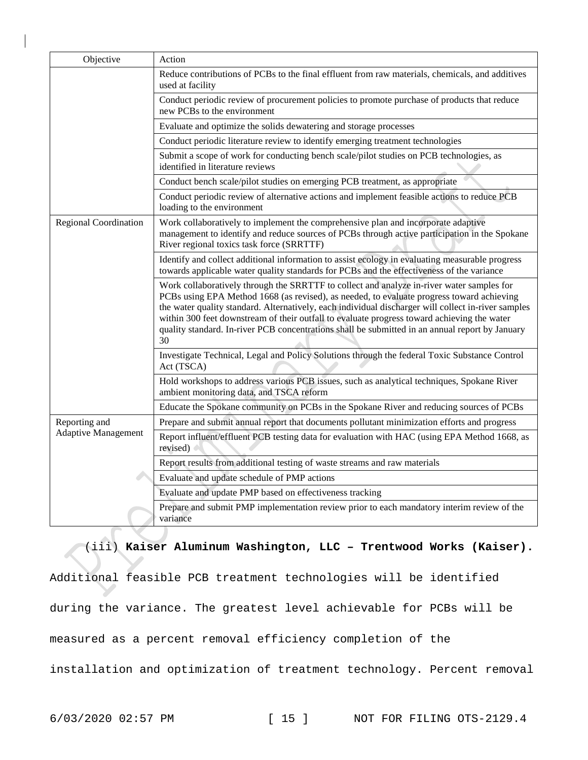| Objective                    | Action                                                                                                                                                                                                                                                                                                                                                                                                                                                                                                |
|------------------------------|-------------------------------------------------------------------------------------------------------------------------------------------------------------------------------------------------------------------------------------------------------------------------------------------------------------------------------------------------------------------------------------------------------------------------------------------------------------------------------------------------------|
|                              | Reduce contributions of PCBs to the final effluent from raw materials, chemicals, and additives<br>used at facility                                                                                                                                                                                                                                                                                                                                                                                   |
|                              | Conduct periodic review of procurement policies to promote purchase of products that reduce<br>new PCBs to the environment                                                                                                                                                                                                                                                                                                                                                                            |
|                              | Evaluate and optimize the solids dewatering and storage processes                                                                                                                                                                                                                                                                                                                                                                                                                                     |
|                              | Conduct periodic literature review to identify emerging treatment technologies                                                                                                                                                                                                                                                                                                                                                                                                                        |
|                              | Submit a scope of work for conducting bench scale/pilot studies on PCB technologies, as<br>identified in literature reviews                                                                                                                                                                                                                                                                                                                                                                           |
|                              | Conduct bench scale/pilot studies on emerging PCB treatment, as appropriate                                                                                                                                                                                                                                                                                                                                                                                                                           |
|                              | Conduct periodic review of alternative actions and implement feasible actions to reduce PCB<br>loading to the environment                                                                                                                                                                                                                                                                                                                                                                             |
| <b>Regional Coordination</b> | Work collaboratively to implement the comprehensive plan and incorporate adaptive<br>management to identify and reduce sources of PCBs through active participation in the Spokane<br>River regional toxics task force (SRRTTF)                                                                                                                                                                                                                                                                       |
|                              | Identify and collect additional information to assist ecology in evaluating measurable progress<br>towards applicable water quality standards for PCBs and the effectiveness of the variance                                                                                                                                                                                                                                                                                                          |
|                              | Work collaboratively through the SRRTTF to collect and analyze in-river water samples for<br>PCBs using EPA Method 1668 (as revised), as needed, to evaluate progress toward achieving<br>the water quality standard. Alternatively, each individual discharger will collect in-river samples<br>within 300 feet downstream of their outfall to evaluate progress toward achieving the water<br>quality standard. In-river PCB concentrations shall be submitted in an annual report by January<br>30 |
|                              | Investigate Technical, Legal and Policy Solutions through the federal Toxic Substance Control<br>Act (TSCA)                                                                                                                                                                                                                                                                                                                                                                                           |
|                              | Hold workshops to address various PCB issues, such as analytical techniques, Spokane River<br>ambient monitoring data, and TSCA reform                                                                                                                                                                                                                                                                                                                                                                |
|                              | Educate the Spokane community on PCBs in the Spokane River and reducing sources of PCBs                                                                                                                                                                                                                                                                                                                                                                                                               |
| Reporting and                | Prepare and submit annual report that documents pollutant minimization efforts and progress                                                                                                                                                                                                                                                                                                                                                                                                           |
| <b>Adaptive Management</b>   | Report influent/effluent PCB testing data for evaluation with HAC (using EPA Method 1668, as<br>revised)                                                                                                                                                                                                                                                                                                                                                                                              |
|                              | Report results from additional testing of waste streams and raw materials                                                                                                                                                                                                                                                                                                                                                                                                                             |
|                              | Evaluate and update schedule of PMP actions                                                                                                                                                                                                                                                                                                                                                                                                                                                           |
|                              | Evaluate and update PMP based on effectiveness tracking                                                                                                                                                                                                                                                                                                                                                                                                                                               |
|                              | Prepare and submit PMP implementation review prior to each mandatory interim review of the<br>variance                                                                                                                                                                                                                                                                                                                                                                                                |

(iii) **Kaiser Aluminum Washington, LLC – Trentwood Works (Kaiser).** Additional feasible PCB treatment technologies will be identified during the variance. The greatest level achievable for PCBs will be measured as a percent removal efficiency completion of the installation and optimization of treatment technology. Percent removal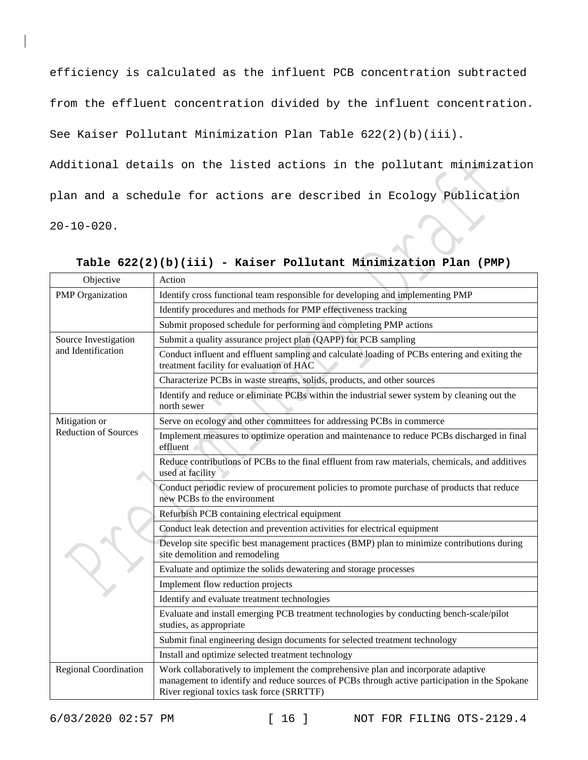efficiency is calculated as the influent PCB concentration subtracted

from the effluent concentration divided by the influent concentration.

See Kaiser Pollutant Minimization Plan Table 622(2)(b)(iii).

Additional details on the listed actions in the pollutant minimization plan and a schedule for actions are described in Ecology Publication  $20-10-020$ .

| Objective                                  | Action                                                                                                                                                                                                                          |
|--------------------------------------------|---------------------------------------------------------------------------------------------------------------------------------------------------------------------------------------------------------------------------------|
| <b>PMP</b> Organization                    | Identify cross functional team responsible for developing and implementing PMP                                                                                                                                                  |
|                                            | Identify procedures and methods for PMP effectiveness tracking                                                                                                                                                                  |
|                                            | Submit proposed schedule for performing and completing PMP actions                                                                                                                                                              |
| Source Investigation<br>and Identification | Submit a quality assurance project plan (QAPP) for PCB sampling                                                                                                                                                                 |
|                                            | Conduct influent and effluent sampling and calculate loading of PCBs entering and exiting the<br>treatment facility for evaluation of HAC                                                                                       |
|                                            | Characterize PCBs in waste streams, solids, products, and other sources                                                                                                                                                         |
|                                            | Identify and reduce or eliminate PCBs within the industrial sewer system by cleaning out the<br>north sewer                                                                                                                     |
| Mitigation or                              | Serve on ecology and other committees for addressing PCBs in commerce                                                                                                                                                           |
| <b>Reduction of Sources</b>                | Implement measures to optimize operation and maintenance to reduce PCBs discharged in final<br>effluent                                                                                                                         |
|                                            | Reduce contributions of PCBs to the final effluent from raw materials, chemicals, and additives<br>used at facility                                                                                                             |
|                                            | Conduct periodic review of procurement policies to promote purchase of products that reduce<br>new PCBs to the environment                                                                                                      |
|                                            | Refurbish PCB containing electrical equipment                                                                                                                                                                                   |
|                                            | Conduct leak detection and prevention activities for electrical equipment                                                                                                                                                       |
|                                            | Develop site specific best management practices (BMP) plan to minimize contributions during<br>site demolition and remodeling                                                                                                   |
|                                            | Evaluate and optimize the solids dewatering and storage processes                                                                                                                                                               |
|                                            | Implement flow reduction projects                                                                                                                                                                                               |
|                                            | Identify and evaluate treatment technologies                                                                                                                                                                                    |
|                                            | Evaluate and install emerging PCB treatment technologies by conducting bench-scale/pilot<br>studies, as appropriate                                                                                                             |
|                                            | Submit final engineering design documents for selected treatment technology                                                                                                                                                     |
|                                            | Install and optimize selected treatment technology                                                                                                                                                                              |
| <b>Regional Coordination</b>               | Work collaboratively to implement the comprehensive plan and incorporate adaptive<br>management to identify and reduce sources of PCBs through active participation in the Spokane<br>River regional toxics task force (SRRTTF) |

**Table 622(2)(b)(iii) - Kaiser Pollutant Minimization Plan (PMP)**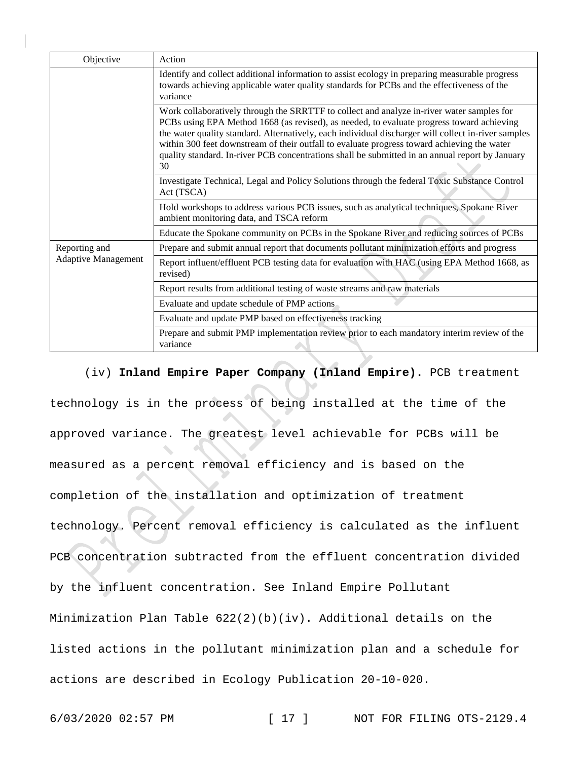| Objective                                   | Action                                                                                                                                                                                                                                                                                                                                                                                                                                                                                                |
|---------------------------------------------|-------------------------------------------------------------------------------------------------------------------------------------------------------------------------------------------------------------------------------------------------------------------------------------------------------------------------------------------------------------------------------------------------------------------------------------------------------------------------------------------------------|
|                                             | Identify and collect additional information to assist ecology in preparing measurable progress<br>towards achieving applicable water quality standards for PCBs and the effectiveness of the<br>variance                                                                                                                                                                                                                                                                                              |
|                                             | Work collaboratively through the SRRTTF to collect and analyze in-river water samples for<br>PCBs using EPA Method 1668 (as revised), as needed, to evaluate progress toward achieving<br>the water quality standard. Alternatively, each individual discharger will collect in-river samples<br>within 300 feet downstream of their outfall to evaluate progress toward achieving the water<br>quality standard. In-river PCB concentrations shall be submitted in an annual report by January<br>30 |
|                                             | Investigate Technical, Legal and Policy Solutions through the federal Toxic Substance Control<br>Act (TSCA)                                                                                                                                                                                                                                                                                                                                                                                           |
|                                             | Hold workshops to address various PCB issues, such as analytical techniques, Spokane River<br>ambient monitoring data, and TSCA reform                                                                                                                                                                                                                                                                                                                                                                |
|                                             | Educate the Spokane community on PCBs in the Spokane River and reducing sources of PCBs                                                                                                                                                                                                                                                                                                                                                                                                               |
| Reporting and<br><b>Adaptive Management</b> | Prepare and submit annual report that documents pollutant minimization efforts and progress                                                                                                                                                                                                                                                                                                                                                                                                           |
|                                             | Report influent/effluent PCB testing data for evaluation with HAC (using EPA Method 1668, as<br>revised)                                                                                                                                                                                                                                                                                                                                                                                              |
|                                             | Report results from additional testing of waste streams and raw materials                                                                                                                                                                                                                                                                                                                                                                                                                             |
|                                             | Evaluate and update schedule of PMP actions                                                                                                                                                                                                                                                                                                                                                                                                                                                           |
|                                             | Evaluate and update PMP based on effectiveness tracking                                                                                                                                                                                                                                                                                                                                                                                                                                               |
|                                             | Prepare and submit PMP implementation review prior to each mandatory interim review of the<br>variance                                                                                                                                                                                                                                                                                                                                                                                                |

(iv) **Inland Empire Paper Company (Inland Empire).** PCB treatment technology is in the process of being installed at the time of the approved variance. The greatest level achievable for PCBs will be measured as a percent removal efficiency and is based on the completion of the installation and optimization of treatment technology. Percent removal efficiency is calculated as the influent PCB concentration subtracted from the effluent concentration divided by the influent concentration. See Inland Empire Pollutant Minimization Plan Table  $622(2)(b)(iv)$ . Additional details on the listed actions in the pollutant minimization plan and a schedule for actions are described in Ecology Publication 20-10-020.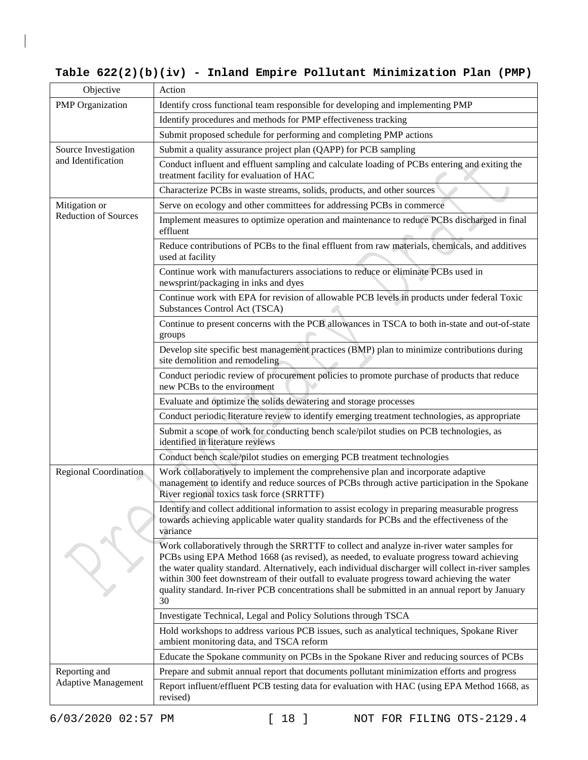# **Table 622(2)(b)(iv) - Inland Empire Pollutant Minimization Plan (PMP)**

| Objective                   | Action                                                                                                                                                                                                                                                                                                                                                                                                                                                                                                |
|-----------------------------|-------------------------------------------------------------------------------------------------------------------------------------------------------------------------------------------------------------------------------------------------------------------------------------------------------------------------------------------------------------------------------------------------------------------------------------------------------------------------------------------------------|
| <b>PMP</b> Organization     | Identify cross functional team responsible for developing and implementing PMP                                                                                                                                                                                                                                                                                                                                                                                                                        |
|                             | Identify procedures and methods for PMP effectiveness tracking                                                                                                                                                                                                                                                                                                                                                                                                                                        |
|                             | Submit proposed schedule for performing and completing PMP actions                                                                                                                                                                                                                                                                                                                                                                                                                                    |
| Source Investigation        | Submit a quality assurance project plan (QAPP) for PCB sampling                                                                                                                                                                                                                                                                                                                                                                                                                                       |
| and Identification          | Conduct influent and effluent sampling and calculate loading of PCBs entering and exiting the<br>treatment facility for evaluation of HAC                                                                                                                                                                                                                                                                                                                                                             |
|                             | Characterize PCBs in waste streams, solids, products, and other sources                                                                                                                                                                                                                                                                                                                                                                                                                               |
| Mitigation or               | Serve on ecology and other committees for addressing PCBs in commerce                                                                                                                                                                                                                                                                                                                                                                                                                                 |
| <b>Reduction of Sources</b> | Implement measures to optimize operation and maintenance to reduce PCBs discharged in final<br>effluent                                                                                                                                                                                                                                                                                                                                                                                               |
|                             | Reduce contributions of PCBs to the final effluent from raw materials, chemicals, and additives<br>used at facility                                                                                                                                                                                                                                                                                                                                                                                   |
|                             | Continue work with manufacturers associations to reduce or eliminate PCBs used in<br>newsprint/packaging in inks and dyes                                                                                                                                                                                                                                                                                                                                                                             |
|                             | Continue work with EPA for revision of allowable PCB levels in products under federal Toxic<br>Substances Control Act (TSCA)                                                                                                                                                                                                                                                                                                                                                                          |
|                             | Continue to present concerns with the PCB allowances in TSCA to both in-state and out-of-state<br>groups                                                                                                                                                                                                                                                                                                                                                                                              |
|                             | Develop site specific best management practices (BMP) plan to minimize contributions during<br>site demolition and remodeling                                                                                                                                                                                                                                                                                                                                                                         |
|                             | Conduct periodic review of procurement policies to promote purchase of products that reduce<br>new PCBs to the environment                                                                                                                                                                                                                                                                                                                                                                            |
|                             | Evaluate and optimize the solids dewatering and storage processes                                                                                                                                                                                                                                                                                                                                                                                                                                     |
|                             | Conduct periodic literature review to identify emerging treatment technologies, as appropriate                                                                                                                                                                                                                                                                                                                                                                                                        |
|                             | Submit a scope of work for conducting bench scale/pilot studies on PCB technologies, as<br>identified in literature reviews                                                                                                                                                                                                                                                                                                                                                                           |
|                             | Conduct bench scale/pilot studies on emerging PCB treatment technologies                                                                                                                                                                                                                                                                                                                                                                                                                              |
| Regional Coordination       | Work collaboratively to implement the comprehensive plan and incorporate adaptive<br>management to identify and reduce sources of PCBs through active participation in the Spokane<br>River regional toxics task force (SRRTTF)                                                                                                                                                                                                                                                                       |
|                             | Identify and collect additional information to assist ecology in preparing measurable progress<br>towards achieving applicable water quality standards for PCBs and the effectiveness of the<br>variance                                                                                                                                                                                                                                                                                              |
|                             | Work collaboratively through the SRRTTF to collect and analyze in-river water samples for<br>PCBs using EPA Method 1668 (as revised), as needed, to evaluate progress toward achieving<br>the water quality standard. Alternatively, each individual discharger will collect in-river samples<br>within 300 feet downstream of their outfall to evaluate progress toward achieving the water<br>quality standard. In-river PCB concentrations shall be submitted in an annual report by January<br>30 |
|                             | Investigate Technical, Legal and Policy Solutions through TSCA                                                                                                                                                                                                                                                                                                                                                                                                                                        |
|                             | Hold workshops to address various PCB issues, such as analytical techniques, Spokane River<br>ambient monitoring data, and TSCA reform                                                                                                                                                                                                                                                                                                                                                                |
|                             | Educate the Spokane community on PCBs in the Spokane River and reducing sources of PCBs                                                                                                                                                                                                                                                                                                                                                                                                               |
| Reporting and               | Prepare and submit annual report that documents pollutant minimization efforts and progress                                                                                                                                                                                                                                                                                                                                                                                                           |
| <b>Adaptive Management</b>  | Report influent/effluent PCB testing data for evaluation with HAC (using EPA Method 1668, as<br>revised)                                                                                                                                                                                                                                                                                                                                                                                              |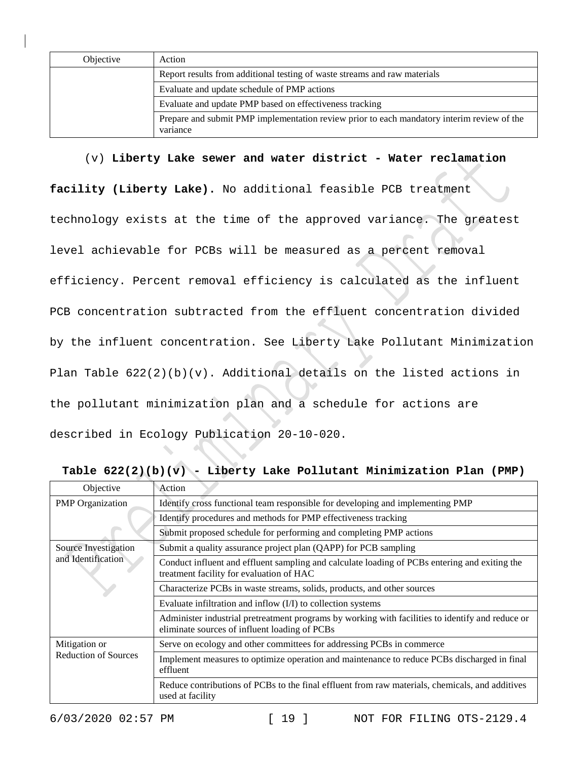| Objective | Action                                                                                                 |
|-----------|--------------------------------------------------------------------------------------------------------|
|           | Report results from additional testing of waste streams and raw materials                              |
|           | Evaluate and update schedule of PMP actions                                                            |
|           | Evaluate and update PMP based on effectiveness tracking                                                |
|           | Prepare and submit PMP implementation review prior to each mandatory interim review of the<br>variance |

(v) **Liberty Lake sewer and water district - Water reclamation** 

**facility (Liberty Lake).** No additional feasible PCB treatment technology exists at the time of the approved variance. The greatest level achievable for PCBs will be measured as a percent removal efficiency. Percent removal efficiency is calculated as the influent PCB concentration subtracted from the effluent concentration divided by the influent concentration. See Liberty Lake Pollutant Minimization Plan Table 622(2)(b)(v). Additional details on the listed actions in the pollutant minimization plan and a schedule for actions are described in Ecology Publication 20-10-020.

| Objective                                    | Action                                                                                                                                            |
|----------------------------------------------|---------------------------------------------------------------------------------------------------------------------------------------------------|
| <b>PMP</b> Organization                      | Identify cross functional team responsible for developing and implementing PMP                                                                    |
|                                              | Identify procedures and methods for PMP effectiveness tracking                                                                                    |
|                                              | Submit proposed schedule for performing and completing PMP actions                                                                                |
| Source Investigation<br>and Identification   | Submit a quality assurance project plan (QAPP) for PCB sampling                                                                                   |
|                                              | Conduct influent and effluent sampling and calculate loading of PCBs entering and exiting the<br>treatment facility for evaluation of HAC         |
|                                              | Characterize PCBs in waste streams, solids, products, and other sources                                                                           |
|                                              | Evaluate infiltration and inflow (I/I) to collection systems                                                                                      |
|                                              | Administer industrial pretreatment programs by working with facilities to identify and reduce or<br>eliminate sources of influent loading of PCBs |
| Mitigation or<br><b>Reduction of Sources</b> | Serve on ecology and other committees for addressing PCBs in commerce                                                                             |
|                                              | Implement measures to optimize operation and maintenance to reduce PCBs discharged in final<br>effluent                                           |
|                                              | Reduce contributions of PCBs to the final effluent from raw materials, chemicals, and additives<br>used at facility                               |

**Table 622(2)(b)(v) - Liberty Lake Pollutant Minimization Plan (PMP)**